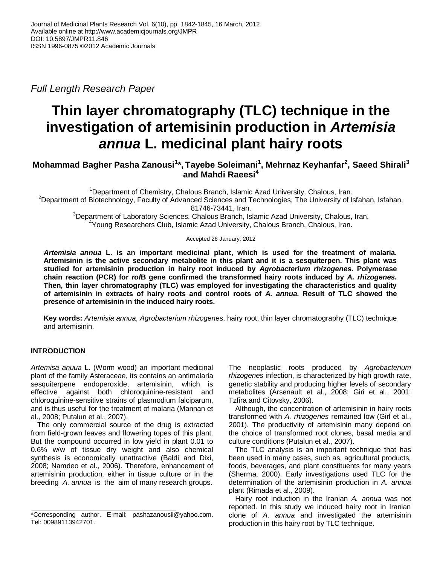*Full Length Research Paper*

# **Thin layer chromatography (TLC) technique in the investigation of artemisinin production in** *Artemisia annua* **L. medicinal plant hairy roots**

# **Mohammad Bagher Pasha Zanousi<sup>1</sup> \*, Tayebe Soleimani<sup>1</sup> , Mehrnaz Keyhanfar<sup>2</sup> , Saeed Shirali<sup>3</sup> and Mahdi Raeesi<sup>4</sup>**

<sup>1</sup>Department of Chemistry, Chalous Branch, Islamic Azad University, Chalous, Iran. <sup>2</sup>Department of Biotechnology, Faculty of Advanced Sciences and Technologies, The University of Isfahan, Isfahan, 81746-73441, Iran. <sup>3</sup>Department of Laboratory Sciences, Chalous Branch, Islamic Azad University, Chalous, Iran.

<sup>4</sup>Young Researchers Club, Islamic Azad University, Chalous Branch, Chalous, Iran.

# Accepted 26 January, 2012

*Artemisia annua* **L. is an important medicinal plant, which is used for the treatment of malaria. Artemisinin is the active secondary metabolite in this plant and it is a sesquiterpen. This plant was studied for artemisinin production in hairy root induced by** *Agrobacterium rhizogenes***. Polymerase chain reaction (PCR) for** *rol***B gene confirmed the transformed hairy roots induced by** *A. rhizogenes***. Then, thin layer chromatography (TLC) was employed for investigating the characteristics and quality of artemisinin in extracts of hairy roots and control roots of** *A. annua***. Result of TLC showed the presence of artemisinin in the induced hairy roots.**

**Key words:** *Artemisia annua*, *Agrobacterium rhizogene*s, hairy root, thin layer chromatography (TLC) technique and artemisinin.

# **INTRODUCTION**

*Artemisa anuua* L. (Worm wood) an important medicinal plant of the family Asteraceae, its contains an antimalaria sesquiterpene endoperoxide, artemisinin, which is effective against both chloroquinine-resistant and chloroquinine-sensitive strains of plasmodium falciparum, and is thus useful for the treatment of malaria (Mannan et al., 2008; Putalun et al., 2007).

The only commercial source of the drug is extracted from field-grown leaves and flowering topes of this plant. But the compound occurred in low yield in plant 0.01 to 0.6% w/w of tissue dry weight and also chemical synthesis is economically unattractive (Baldi and Dixi, 2008; Namdeo et al., 2006). Therefore, enhancement of artemisinin production, either in tissue culture or in the breeding *A. annua* is the aim of many research groups.

The neoplastic roots produced by *Agrobacterium rhizogenes* infection, is characterized by high growth rate, genetic stability and producing higher levels of secondary metabolites (Arsenault et al., 2008; Giri et al., 2001; Tzfira and Citovsky, 2006).

Although, the concentration of artemisinin in hairy roots transformed with *A. rhizogenes* remained low (Girl et al., 2001). The productivity of artemisinin many depend on the choice of transformed root clones, basal media and culture conditions (Putalun et al., 2007).

The TLC analysis is an important technique that has been used in many cases, such as, agricultural products, foods, beverages, and plant constituents for many years (Sherma, 2000). Early investigations used TLC for the determination of the artemisinin production in *A. annua* plant (Rimada et al., 2009).

Hairy root induction in the Iranian *A. annua* was not reported. In this study we induced hairy root in Iranian clone of *A. annua* and investigated the artemisinin production in this hairy root by TLC technique.

<sup>\*</sup>Corresponding author. E-mail: pashazanousii@yahoo.com. Tel: 00989113942701.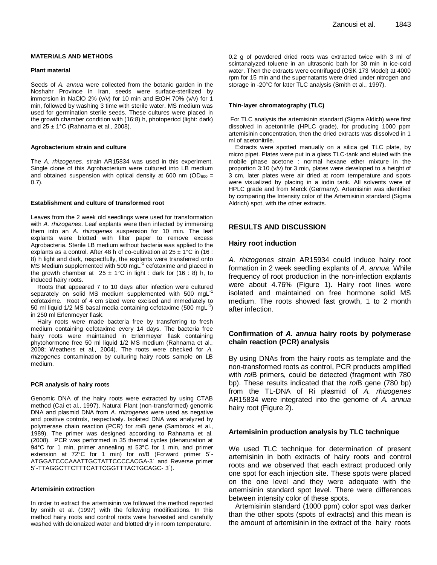#### **MATERIALS AND METHODS**

#### **Plant material**

Seeds of *A. annua* were collected from the botanic garden in the Noshahr Province in Iran, seeds were surface-sterilized by immersion in NaClO 2% (v/v) for 10 min and EtOH 70% (v/v) for 1 min, followed by washing 3 time with sterile water. MS medium was used for germination sterile seeds. These cultures were placed in the growth chamber condition with (16:8) h, photoperiod (light: dark) and  $25 \pm 1^{\circ}$ C (Rahnama et al., 2008).

#### **Agrobacterium strain and culture**

The *A. rhizogenes*, strain AR15834 was used in this experiment. Single clone of this Agrobacterium were cultured into LB medium and obtained suspension with optical density at 600 nm ( $OD_{600} =$ 0.7).

#### **Establishment and culture of transformed root**

Leaves from the 2 week old seedlings were used for transformation with *A. rhizogenes*. Leaf explants were then infected by immersing them into an *A. rhizogenes* suspension for 10 min. The leaf explants were blotted with filter paper to remove excess Agrobacteria. Sterile LB medium without bacteria was applied to the explants as a control. After 48 h of co-cultivation at  $25 \pm 1^{\circ}$ C in (16 : 8) h light and dark, respectfully, the explants were transferred onto  $MS$  Medium supplemented with 500 mgL $^{-1}$  cefotaxime and placed in the growth chamber at  $25 \pm 1^{\circ}$ C in light : dark for (16 : 8) h, to induced hairy roots.

Roots that appeared 7 to 10 days after infection were cultured separately on solid MS medium supplemented with 500 mgL<sup>-1</sup> cefotaxime. Root of 4 cm sized were excised and immediately to 50 ml liquid 1/2 MS basal media containing cefotaxime (500 mgL $^{-1}$ ) in 250 ml Erlenmeyer flask.

Hairy roots were made bacteria free by transferring to fresh medium containing cefotaxime every 14 days. The bacteria free hairy roots were maintained in Erlenmeyer flask containing phytohormone free 50 ml liquid 1/2 MS medium (Rahnama et al., 2008; Weathers et al., 2004). The roots were checked for *A. rhizogenes* contamination by culturing hairy roots sample on LB medium.

#### **PCR analysis of hairy roots**

Genomic DNA of the hairy roots were extracted by using CTAB method (Cai et al., 1997). Natural Plant (non-transformed) genomic DNA and plasmid DNA from *A. rhizogenes* were used as negative and positive controls, respectively. Isolated DNA was analyzed by polymerase chain reaction (PCR) for *rol*B gene (Sambrook et al., 1989). The primer was designed according to Rahnama et al. (2008). PCR was performed in 35 thermal cycles (denaturation at 94°C for 1 min, primer annealing at 53°C for 1 min, and primer extension at 72°C for 1 min) for *rol*B (Forward primer 5´- ATGGATCCCAAATTGCTATTCCCCACGA-3´ and Reverse primer 5´-TTAGGCTTCTTTCATTCGGTTTACTGCAGC- 3´).

#### **Artemisinin extraction**

In order to extract the artemisinin we followed the method reported by smith et al. (1997) with the following modifications. In this method hairy roots and control roots were harvested and carefully washed with deionaized water and blotted dry in room temperature.

0.2 g of powdered dried roots was extracted twice with 3 ml of scintanalyzed toluene in an ultrasonic bath for 30 min in ice-cold water. Then the extracts were centrifuged (OSK 173 Model) at 4000 rpm for 15 min and the supernatants were dried under nitrogen and storage in -20°C for later TLC analysis (Smith et al., 1997).

#### **Thin-layer chromatography (TLC)**

For TLC analysis the artemisinin standard (Sigma Aldich) were first dissolved in acetonitrile (HPLC grade), for producing 1000 ppm artemisinin concentration, then the dried extracts was dissolved in 1 ml of acetonitrile.

Extracts were spotted manually on a silica gel TLC plate, by micro pipet. Plates were put in a glass TLC-tank and eluted with the mobile phase acetone : normal hexane ether mixture in the proportion 3:10 (v/v) for 3 min, plates were developed to a height of 3 cm, later plates were air dried at room temperature and spots were visualized by placing in a iodin tank. All solvents were of HPLC grade and from Merck (Germany). Artemisinin was identified by comparing the Intensity color of the Artemisinin standard (Sigma Aldrich) spot, with the other extracts.

# **RESULTS AND DISCUSSION**

### **Hairy root induction**

*A. rhizogenes* strain AR15934 could induce hairy root formation in 2 week seedling explants of *A. annua*. While frequency of root production in the non-infection explants were about 4.76% (Figure 1). Hairy root lines were isolated and maintained on free hormone solid MS medium. The roots showed fast growth, 1 to 2 month after infection.

# **Confirmation of** *A. annua* **hairy roots by polymerase chain reaction (PCR) analysis**

By using DNAs from the hairy roots as template and the non-transformed roots as control, PCR products amplified with *rol*B primers, could be detected (fragment with 780 bp). These results indicated that the *rol*B gene (780 bp) from the TL-DNA of Ri plasmid of *A. rhizogenes* AR15834 were integrated into the genome of *A. annua* hairy root (Figure 2).

# **Artemisinin production analysis by TLC technique**

We used TLC technique for determination of present artemisinin in both extracts of hairy roots and control roots and we observed that each extract produced only one spot for each injection site. These spots were placed on the one level and they were adequate with the artemisinin standard spot level. There were differences between intensity color of these spots.

Artemisinin standard (1000 ppm) color spot was darker than the other spots (spots of extracts) and this mean is the amount of artemisinin in the extract of the hairy roots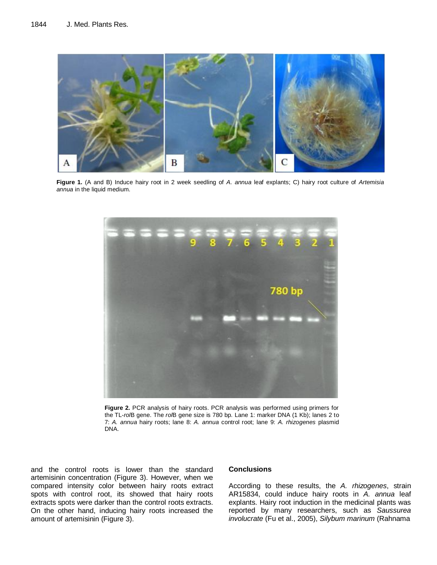

**Figure 1.** (A and B) Induce hairy root in 2 week seedling of *A. annua* leaf explants; C) hairy root culture of *Artemisia annua* in the liquid medium.



**Figure 2.** PCR analysis of hairy roots. PCR analysis was performed using primers for the TL-*rol*B gene. The *rol*B gene size is 780 bp. Lane 1: marker DNA (1 Kb); lanes 2 to 7: *A. annua* hairy roots; lane 8: *A. annua* control root; lane 9: *A. rhizogenes* plasmid DNA.

and the control roots is lower than the standard artemisinin concentration (Figure 3). However, when we compared intensity color between hairy roots extract spots with control root, its showed that hairy roots extracts spots were darker than the control roots extracts. On the other hand, inducing hairy roots increased the amount of artemisinin (Figure 3).

# **Conclusions**

According to these results, the *A. rhizogenes*, strain AR15834, could induce hairy roots in *A. annua* leaf explants. Hairy root induction in the medicinal plants was reported by many researchers, such as *Saussurea involucrate* (Fu et al., 2005), *Silybum marinum* (Rahnama